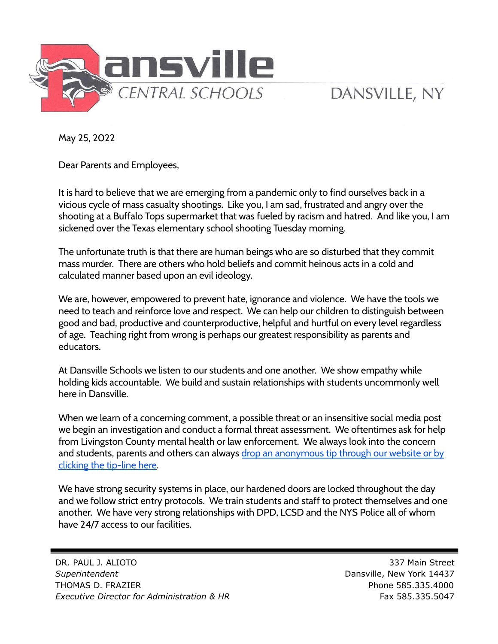

## DANSVILLE, NY

May 25, 2022

Dear Parents and Employees,

It is hard to believe that we are emerging from a pandemic only to find ourselves back in a vicious cycle of mass casualty shootings. Like you, I am sad, frustrated and angry over the shooting at a Buffalo Tops supermarket that was fueled by racism and hatred. And like you, I am sickened over the Texas elementary school shooting Tuesday morning.

The unfortunate truth is that there are human beings who are so disturbed that they commit mass murder. There are others who hold beliefs and commit heinous acts in a cold and calculated manner based upon an evil ideology.

We are, however, empowered to prevent hate, ignorance and violence. We have the tools we need to teach and reinforce love and respect. We can help our children to distinguish between good and bad, productive and counterproductive, helpful and hurtful on every level regardless of age. Teaching right from wrong is perhaps our greatest responsibility as parents and educators.

At Dansville Schools we listen to our students and one another. We show empathy while holding kids accountable. We build and sustain relationships with students uncommonly well here in Dansville.

When we learn of a concerning comment, a possible threat or an insensitive social media post we begin an investigation and conduct a formal threat assessment. We oftentimes ask for help from Livingston County mental health or law enforcement. We always look into the concern and students, parents and others can always drop an [anonymous](https://www.dansvillecsd.org/tipline) tip through our website or by [clicking](https://www.dansvillecsd.org/tipline) the tip-line here.

We have strong security systems in place, our hardened doors are locked throughout the day and we follow strict entry protocols. We train students and staff to protect themselves and one another. We have very strong relationships with DPD, LCSD and the NYS Police all of whom have 24/7 access to our facilities.

DR. PAUL J. ALIOTO 337 Main Street *Superintendent* Dansville, New York 14437 THOMAS D. FRAZIER **Phone 585.335.4000** *Executive Director for Administration & HR* Fax 585.335.5047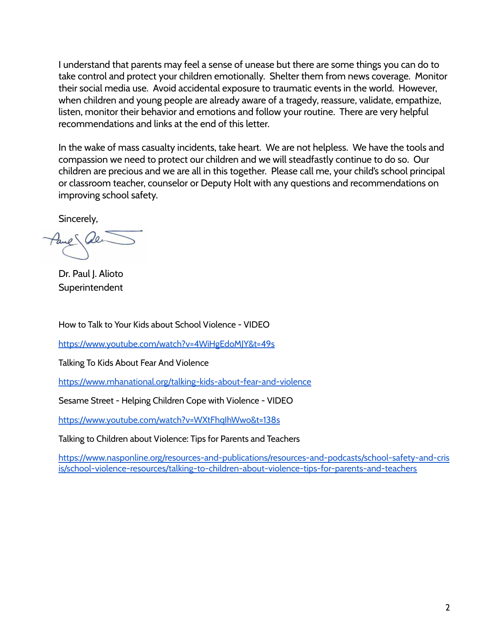I understand that parents may feel a sense of unease but there are some things you can do to take control and protect your children emotionally. Shelter them from news coverage. Monitor their social media use. Avoid accidental exposure to traumatic events in the world. However, when children and young people are already aware of a tragedy, reassure, validate, empathize, listen, monitor their behavior and emotions and follow your routine. There are very helpful recommendations and links at the end of this letter.

In the wake of mass casualty incidents, take heart. We are not helpless. We have the tools and compassion we need to protect our children and we will steadfastly continue to do so. Our children are precious and we are all in this together. Please call me, your child's school principal or classroom teacher, counselor or Deputy Holt with any questions and recommendations on improving school safety.

Sincerely,

Dr. Paul J. Alioto **Superintendent** 

How to Talk to Your Kids about School Violence - VIDEO

<https://www.youtube.com/watch?v=4WiHgEdoMJY&t=49s>

Talking To Kids About Fear And Violence

<https://www.mhanational.org/talking-kids-about-fear-and-violence>

Sesame Street - Helping Children Cope with Violence - VIDEO

<https://www.youtube.com/watch?v=WXtFhqIhWwo&t=138s>

Talking to Children about Violence: Tips for Parents and Teachers

[https://www.nasponline.org/resources-and-publications/resources-and-podcasts/school-safety-and-cris](https://www.nasponline.org/resources-and-publications/resources-and-podcasts/school-safety-and-crisis/school-violence-resources/talking-to-children-about-violence-tips-for-parents-and-teachers) [is/school-violence-resources/talking-to-children-about-violence-tips-for-parents-and-teachers](https://www.nasponline.org/resources-and-publications/resources-and-podcasts/school-safety-and-crisis/school-violence-resources/talking-to-children-about-violence-tips-for-parents-and-teachers)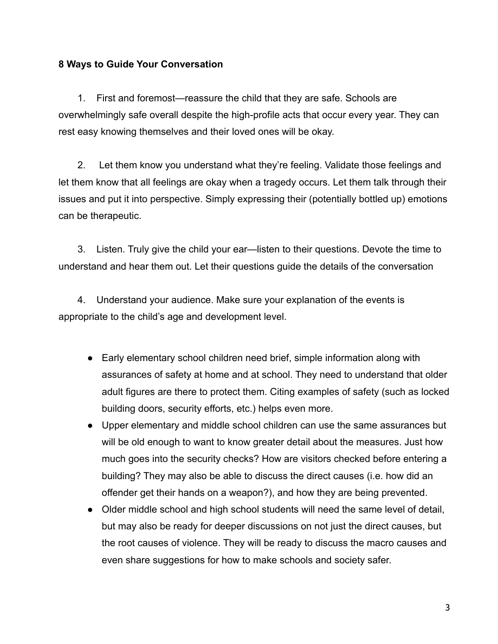## **8 Ways to Guide Your Conversation**

1. First and foremost—reassure the child that they are safe. Schools are overwhelmingly safe overall despite the high-profile acts that occur every year. They can rest easy knowing themselves and their loved ones will be okay.

2. Let them know you understand what they're feeling. Validate those feelings and let them know that all feelings are okay when a tragedy occurs. Let them talk through their issues and put it into perspective. Simply expressing their (potentially bottled up) emotions can be therapeutic.

3. Listen. Truly give the child your ear—listen to their questions. Devote the time to understand and hear them out. Let their questions guide the details of the conversation

4. Understand your audience. Make sure your explanation of the events is appropriate to the child's age and development level.

- Early elementary school children need brief, simple information along with assurances of safety at home and at school. They need to understand that older adult figures are there to protect them. Citing examples of safety (such as locked building doors, security efforts, etc.) helps even more.
- Upper elementary and middle school children can use the same assurances but will be old enough to want to know greater detail about the measures. Just how much goes into the security checks? How are visitors checked before entering a building? They may also be able to discuss the direct causes (i.e. how did an offender get their hands on a weapon?), and how they are being prevented.
- Older middle school and high school students will need the same level of detail, but may also be ready for deeper discussions on not just the direct causes, but the root causes of violence. They will be ready to discuss the macro causes and even share suggestions for how to make schools and society safer.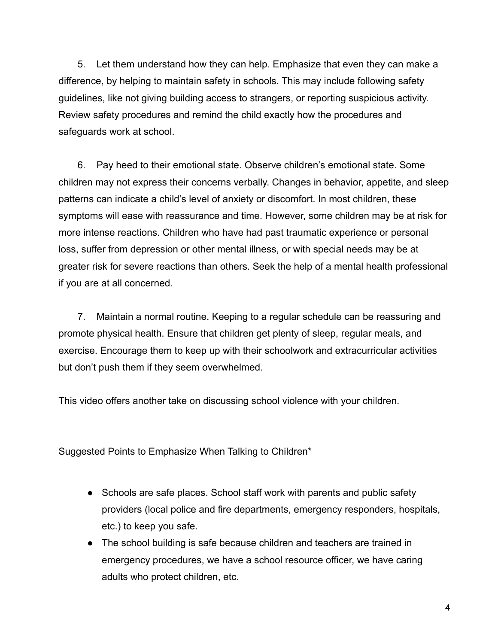5. Let them understand how they can help. Emphasize that even they can make a difference, by helping to maintain safety in schools. This may include following safety guidelines, like not giving building access to strangers, or reporting suspicious activity. Review safety procedures and remind the child exactly how the procedures and safeguards work at school.

6. Pay heed to their emotional state. Observe children's emotional state. Some children may not express their concerns verbally. Changes in behavior, appetite, and sleep patterns can indicate a child's level of anxiety or discomfort. In most children, these symptoms will ease with reassurance and time. However, some children may be at risk for more intense reactions. Children who have had past traumatic experience or personal loss, suffer from depression or other mental illness, or with special needs may be at greater risk for severe reactions than others. Seek the help of a mental health professional if you are at all concerned.

7. Maintain a normal routine. Keeping to a regular schedule can be reassuring and promote physical health. Ensure that children get plenty of sleep, regular meals, and exercise. Encourage them to keep up with their schoolwork and extracurricular activities but don't push them if they seem overwhelmed.

This video offers another take on discussing school violence with your children.

Suggested Points to Emphasize When Talking to Children\*

- Schools are safe places. School staff work with parents and public safety providers (local police and fire departments, emergency responders, hospitals, etc.) to keep you safe.
- The school building is safe because children and teachers are trained in emergency procedures, we have a school resource officer, we have caring adults who protect children, etc.